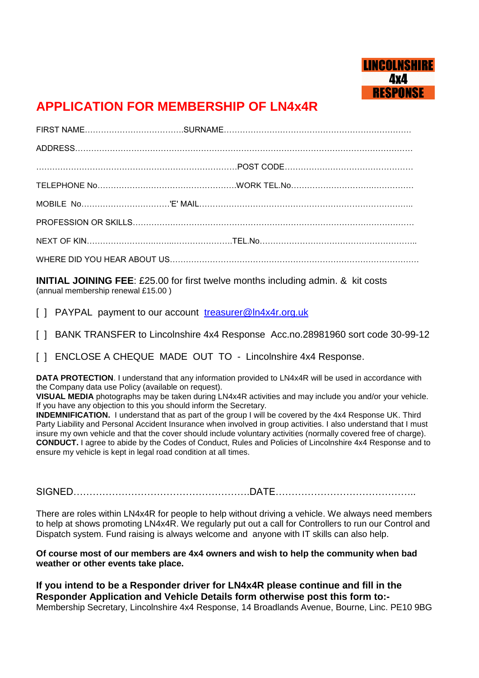

## **APPLICATION FOR MEMBERSHIP OF LN4x4R**

**INITIAL JOINING FEE**: £25.00 for first twelve months including admin. & kit costs (annual membership renewal £15.00 )

[ ] PAYPAL payment to our account [treasurer@ln4x4r.org.uk](mailto:treasurer@ln4x4r.org.uk)

[ ] BANK TRANSFER to Lincolnshire 4x4 Response Acc.no.28981960 sort code 30-99-12

[ ] ENCLOSE A CHEQUE MADE OUT TO - Lincolnshire 4x4 Response.

**DATA PROTECTION**. I understand that any information provided to LN4x4R will be used in accordance with the Company data use Policy (available on request).

**VISUAL MEDIA** photographs may be taken during LN4x4R activities and may include you and/or your vehicle. If you have any objection to this you should inform the Secretary.

**INDEMNIFICATION.** I understand that as part of the group I will be covered by the 4x4 Response UK. Third Party Liability and Personal Accident Insurance when involved in group activities. I also understand that I must insure my own vehicle and that the cover should include voluntary activities (normally covered free of charge). **CONDUCT.** I agree to abide by the Codes of Conduct, Rules and Policies of Lincolnshire 4x4 Response and to ensure my vehicle is kept in legal road condition at all times.

SIGNED……………………………………………….DATE……………………………………..

There are roles within LN4x4R for people to help without driving a vehicle. We always need members to help at shows promoting LN4x4R. We regularly put out a call for Controllers to run our Control and Dispatch system. Fund raising is always welcome and anyone with IT skills can also help.

**Of course most of our members are 4x4 owners and wish to help the community when bad weather or other events take place.**

**If you intend to be a Responder driver for LN4x4R please continue and fill in the Responder Application and Vehicle Details form otherwise post this form to:-** Membership Secretary, Lincolnshire 4x4 Response, 14 Broadlands Avenue, Bourne, Linc. PE10 9BG